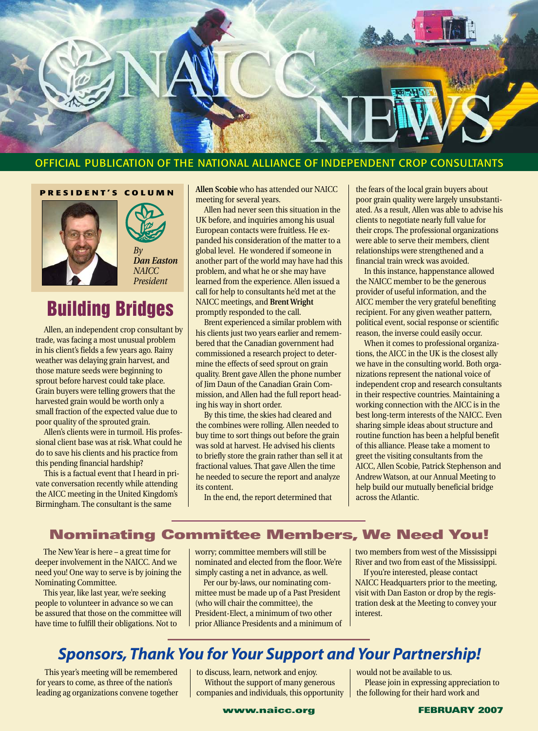

#### OFFICIAL PUBLICATION OF THE NATIONAL ALLIANCE OF INDEPENDENT CROP CONSULTANTS

#### **PRESIDENT'S COLUMN**





*President*

# **Building Bridges**

Allen, an independent crop consultant by trade, was facing a most unusual problem in his client's fields a few years ago. Rainy weather was delaying grain harvest, and those mature seeds were beginning to sprout before harvest could take place. Grain buyers were telling growers that the harvested grain would be worth only a small fraction of the expected value due to poor quality of the sprouted grain.

Allen's clients were in turmoil. His professional client base was at risk. What could he do to save his clients and his practice from this pending financial hardship?

This is a factual event that I heard in private conversation recently while attending the AICC meeting in the United Kingdom's Birmingham. The consultant is the same

**Allen Scobie** who has attended our NAICC meeting for several years.

Allen had never seen this situation in the UK before, and inquiries among his usual European contacts were fruitless. He expanded his consideration of the matter to a global level. He wondered if someone in another part of the world may have had this problem, and what he or she may have learned from the experience. Allen issued a call for help to consultants he'd met at the NAICC meetings, and **Brent Wright** promptly responded to the call.

Brent experienced a similar problem with his clients just two years earlier and remembered that the Canadian government had commissioned a research project to determine the effects of seed sprout on grain quality. Brent gave Allen the phone number of Jim Daun of the Canadian Grain Commission, and Allen had the full report heading his way in short order.

By this time, the skies had cleared and the combines were rolling. Allen needed to buy time to sort things out before the grain was sold at harvest. He advised his clients to briefly store the grain rather than sell it at fractional values. That gave Allen the time he needed to secure the report and analyze its content.

In the end, the report determined that

the fears of the local grain buyers about poor grain quality were largely unsubstantiated. As a result, Allen was able to advise his clients to negotiate nearly full value for their crops. The professional organizations were able to serve their members, client relationships were strengthened and a financial train wreck was avoided.

In this instance, happenstance allowed the NAICC member to be the generous provider of useful information, and the AICC member the very grateful benefiting recipient. For any given weather pattern, political event, social response or scientific reason, the inverse could easily occur.

When it comes to professional organizations, the AICC in the UK is the closest ally we have in the consulting world. Both organizations represent the national voice of independent crop and research consultants in their respective countries. Maintaining a working connection with the AICC is in the best long-term interests of the NAICC. Even sharing simple ideas about structure and routine function has been a helpful benefit of this alliance. Please take a moment to greet the visiting consultants from the AICC, Allen Scobie, Patrick Stephenson and Andrew Watson, at our Annual Meeting to help build our mutually beneficial bridge across the Atlantic.

### **Nominating Committee Members, We Need You!**

The New Year is here – a great time for deeper involvement in the NAICC. And we need you! One way to serve is by joining the Nominating Committee.

This year, like last year, we're seeking people to volunteer in advance so we can be assured that those on the committee will have time to fulfill their obligations. Not to

worry; committee members will still be nominated and elected from the floor. We're simply casting a net in advance, as well.

Per our by-laws, our nominating committee must be made up of a Past President (who will chair the committee), the President-Elect, a minimum of two other prior Alliance Presidents and a minimum of two members from west of the Mississippi River and two from east of the Mississippi.

If you're interested, please contact NAICC Headquarters prior to the meeting, visit with Dan Easton or drop by the registration desk at the Meeting to convey your interest.

### *Sponsors, Thank You for Your Support and Your Partnership!*

This year's meeting will be remembered for years to come, as three of the nation's leading ag organizations convene together

to discuss, learn, network and enjoy. Without the support of many generous companies and individuals, this opportunity

would not be available to us. Please join in expressing appreciation to the following for their hard work and

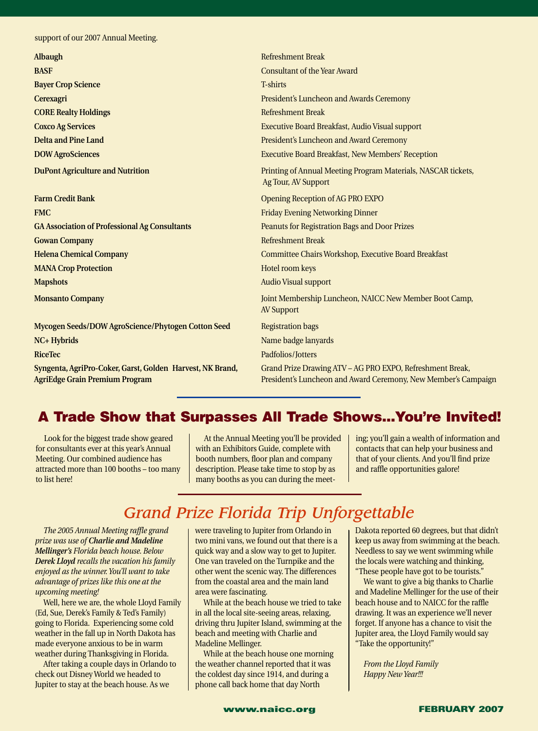support of our 2007 Annual Meeting.

| Albaugh                                                                                            | <b>Refreshment Break</b>                                                                                                    |
|----------------------------------------------------------------------------------------------------|-----------------------------------------------------------------------------------------------------------------------------|
| <b>BASF</b>                                                                                        | <b>Consultant of the Year Award</b>                                                                                         |
| <b>Bayer Crop Science</b>                                                                          | <b>T-shirts</b>                                                                                                             |
| Cerexagri                                                                                          | President's Luncheon and Awards Ceremony                                                                                    |
| <b>CORE Realty Holdings</b>                                                                        | <b>Refreshment Break</b>                                                                                                    |
| <b>Coxco Ag Services</b>                                                                           | Executive Board Breakfast, Audio Visual support                                                                             |
| <b>Delta and Pine Land</b>                                                                         | President's Luncheon and Award Ceremony                                                                                     |
| <b>DOW AgroSciences</b>                                                                            | <b>Executive Board Breakfast, New Members' Reception</b>                                                                    |
| <b>DuPont Agriculture and Nutrition</b>                                                            | Printing of Annual Meeting Program Materials, NASCAR tickets,<br>Ag Tour, AV Support                                        |
| <b>Farm Credit Bank</b>                                                                            | <b>Opening Reception of AG PRO EXPO</b>                                                                                     |
| <b>FMC</b>                                                                                         | <b>Friday Evening Networking Dinner</b>                                                                                     |
| <b>GA Association of Professional Ag Consultants</b>                                               | <b>Peanuts for Registration Bags and Door Prizes</b>                                                                        |
| <b>Gowan Company</b>                                                                               | <b>Refreshment Break</b>                                                                                                    |
| <b>Helena Chemical Company</b>                                                                     | Committee Chairs Workshop, Executive Board Breakfast                                                                        |
| <b>MANA Crop Protection</b>                                                                        | Hotel room keys                                                                                                             |
| <b>Mapshots</b>                                                                                    | <b>Audio Visual support</b>                                                                                                 |
| <b>Monsanto Company</b>                                                                            | Joint Membership Luncheon, NAICC New Member Boot Camp,<br><b>AV Support</b>                                                 |
| Mycogen Seeds/DOW AgroScience/Phytogen Cotton Seed                                                 | <b>Registration bags</b>                                                                                                    |
| <b>NC+ Hybrids</b>                                                                                 | Name badge lanyards                                                                                                         |
| <b>RiceTec</b>                                                                                     | Padfolios/Jotters                                                                                                           |
| Syngenta, AgriPro-Coker, Garst, Golden Harvest, NK Brand,<br><b>AgriEdge Grain Premium Program</b> | Grand Prize Drawing ATV - AG PRO EXPO, Refreshment Break,<br>President's Luncheon and Award Ceremony, New Member's Campaign |

### **A Trade Show that Surpasses All Trade Shows...You're Invited!**

Look for the biggest trade show geared for consultants ever at this year's Annual Meeting. Our combined audience has attracted more than 100 booths – too many to list here!

At the Annual Meeting you'll be provided with an Exhibitors Guide, complete with booth numbers, floor plan and company description. Please take time to stop by as many booths as you can during the meet-

ing; you'll gain a wealth of information and contacts that can help your business and that of your clients. And you'll find prize and raffle opportunities galore!

# *Grand Prize Florida Trip Unforgettable*

*The 2005 Annual Meeting raffle grand prize was use of Charlie and Madeline Mellinger's Florida beach house. Below Derek Lloyd recalls the vacation his family enjoyed as the winner. You'll want to take advantage of prizes like this one at the upcoming meeting!*

Well, here we are, the whole Lloyd Family (Ed, Sue, Derek's Family & Ted's Family) going to Florida. Experiencing some cold weather in the fall up in North Dakota has made everyone anxious to be in warm weather during Thanksgiving in Florida.

After taking a couple days in Orlando to check out Disney World we headed to Jupiter to stay at the beach house. As we

were traveling to Jupiter from Orlando in two mini vans, we found out that there is a quick way and a slow way to get to Jupiter. One van traveled on the Turnpike and the other went the scenic way. The differences from the coastal area and the main land area were fascinating.

While at the beach house we tried to take in all the local site-seeing areas, relaxing, driving thru Jupiter Island, swimming at the beach and meeting with Charlie and Madeline Mellinger.

While at the beach house one morning the weather channel reported that it was the coldest day since 1914, and during a phone call back home that day North

Dakota reported 60 degrees, but that didn't keep us away from swimming at the beach. Needless to say we went swimming while the locals were watching and thinking, "These people have got to be tourists."

We want to give a big thanks to Charlie and Madeline Mellinger for the use of their beach house and to NAICC for the raffle drawing. It was an experience we'll never forget. If anyone has a chance to visit the Jupiter area, the Lloyd Family would say "Take the opportunity!"

*From the Lloyd Family Happy New Year!!!*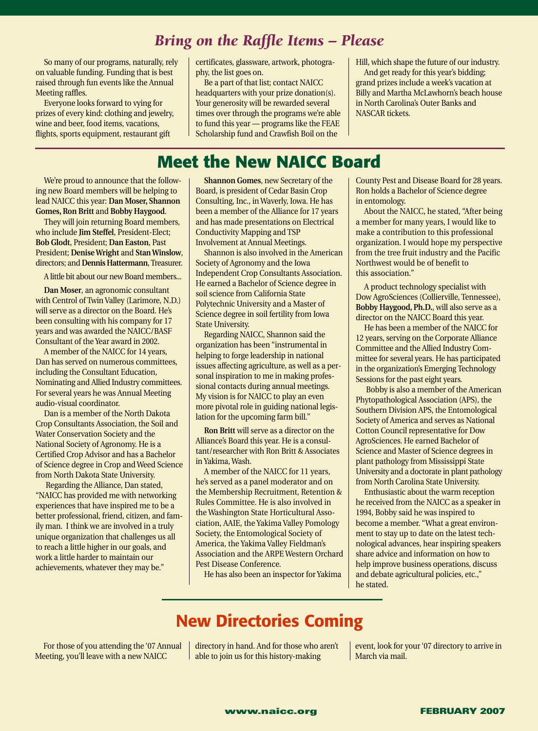### *Bring on the Raffle Items – Please*

So many of our programs, naturally, rely on valuable funding. Funding that is best raised through fun events like the Annual Meeting raffles.

Everyone looks forward to vying for prizes of every kind: clothing and jewelry, wine and beer, food items, vacations, flights, sports equipment, restaurant gift

certificates, glassware, artwork, photography, the list goes on.

Be a part of that list; contact NAICC headquarters with your prize donation(s). Your generosity will be rewarded several times over through the programs we're able to fund this year — programs like the FEAE Scholarship fund and Crawfish Boil on the

Hill, which shape the future of our industry. And get ready for this year's bidding; grand prizes include a week's vacation at Billy and Martha McLawhorn's beach house in North Carolina's Outer Banks and NASCAR tickets.

### **Meet the New NAICC Board**

We're proud to announce that the following new Board members will be helping to lead NAICC this year: **Dan Moser, Shannon Gomes, Ron Britt** and **Bobby Haygood**.

They will join returning Board members, who include **Jim Steffel**, President-Elect; **Bob Glodt**, President; **Dan Easton**, Past President; **Denise Wright** and **Stan Winslow**, directors; and **Dennis Hattermann**, Treasurer.

A little bit about our new Board members...

**Dan Moser**, an agronomic consultant with Centrol of Twin Valley (Larimore, N.D.) will serve as a director on the Board. He's been consulting with his company for 17 years and was awarded the NAICC/BASF Consultant of the Year award in 2002.

A member of the NAICC for 14 years, Dan has served on numerous committees, including the Consultant Education, Nominating and Allied Industry committees. For several years he was Annual Meeting audio-visual coordinator.

Dan is a member of the North Dakota Crop Consultants Association, the Soil and Water Conservation Society and the National Society of Agronomy. He is a Certified Crop Advisor and has a Bachelor of Science degree in Crop and Weed Science from North Dakota State University.

Regarding the Alliance, Dan stated, "NAICC has provided me with networking experiences that have inspired me to be a better professional, friend, citizen, and family man. I think we are involved in a truly unique organization that challenges us all to reach a little higher in our goals, and work a little harder to maintain our achievements, whatever they may be."

**Shannon Gomes**, new Secretary of the Board, is president of Cedar Basin Crop Consulting, Inc., in Waverly, Iowa. He has been a member of the Alliance for 17 years and has made presentations on Electrical Conductivity Mapping and TSP Involvement at Annual Meetings.

Shannon is also involved in the American Society of Agronomy and the Iowa Independent Crop Consultants Association. He earned a Bachelor of Science degree in soil science from California State Polytechnic University and a Master of Science degree in soil fertility from Iowa State University.

Regarding NAICC, Shannon said the organization has been "instrumental in helping to forge leadership in national issues affecting agriculture, as well as a personal inspiration to me in making professional contacts during annual meetings. My vision is for NAICC to play an even more pivotal role in guiding national legislation for the upcoming farm bill."

**Ron Britt** will serve as a director on the Alliance's Board this year. He is a consultant/researcher with Ron Britt & Associates in Yakima, Wash.

A member of the NAICC for 11 years, he's served as a panel moderator and on the Membership Recruitment, Retention & Rules Committee. He is also involved in the Washington State Horticultural Association, AAIE, the Yakima Valley Pomology Society, the Entomological Society of America, the Yakima Valley Fieldman's Association and the ARPE Western Orchard Pest Disease Conference.

He has also been an inspector for Yakima

County Pest and Disease Board for 28 years. Ron holds a Bachelor of Science degree in entomology.

About the NAICC, he stated, "After being a member for many years, I would like to make a contribution to this professional organization. I would hope my perspective from the tree fruit industry and the Pacific Northwest would be of benefit to this association."

A product technology specialist with Dow AgroSciences (Collierville, Tennessee), **Bobby Haygood, Ph.D.**, will also serve as a director on the NAICC Board this year.

He has been a member of the NAICC for 12 years, serving on the Corporate Alliance Committee and the Allied Industry Committee for several years. He has participated in the organization's Emerging Technology Sessions for the past eight years.

Bobby is also a member of the American Phytopathological Association (APS), the Southern Division APS, the Entomological Society of America and serves as National Cotton Council representative for Dow AgroSciences. He earned Bachelor of Science and Master of Science degrees in plant pathology from Mississippi State University and a doctorate in plant pathology from North Carolina State University.

Enthusiastic about the warm reception he received from the NAICC as a speaker in 1994, Bobby said he was inspired to become a member. "What a great environment to stay up to date on the latest technological advances, hear inspiring speakers share advice and information on how to help improve business operations, discuss and debate agricultural policies, etc.," he stated.

# **New Directories Coming**

For those of you attending the '07 Annual Meeting, you'll leave with a new NAICC

directory in hand. And for those who aren't able to join us for this history-making

event, look for your '07 directory to arrive in March via mail.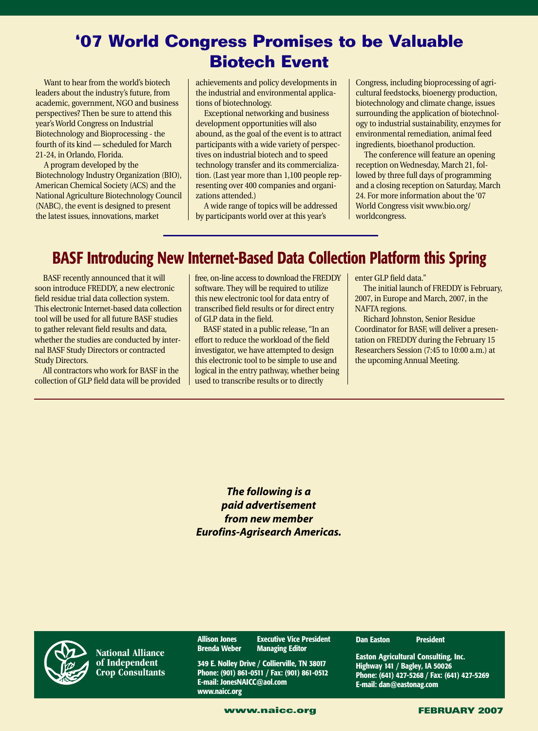# **'07 World Congress Promises to be Valuable Biotech Event**

Want to hear from the world's biotech leaders about the industry's future, from academic, government, NGO and business perspectives? Then be sure to attend this year's World Congress on Industrial Biotechnology and Bioprocessing - the fourth of its kind — scheduled for March 21-24, in Orlando, Florida.

A program developed by the Biotechnology Industry Organization (BIO), American Chemical Society (ACS) and the National Agriculture Biotechnology Council (NABC), the event is designed to present the latest issues, innovations, market

achievements and policy developments in the industrial and environmental applications of biotechnology.

Exceptional networking and business development opportunities will also abound, as the goal of the event is to attract participants with a wide variety of perspectives on industrial biotech and to speed technology transfer and its commercialization. (Last year more than 1,100 people representing over 400 companies and organizations attended.)

A wide range of topics will be addressed by participants world over at this year's

Congress, including bioprocessing of agricultural feedstocks, bioenergy production, biotechnology and climate change, issues surrounding the application of biotechnology to industrial sustainability, enzymes for environmental remediation, animal feed ingredients, bioethanol production.

The conference will feature an opening reception on Wednesday, March 21, followed by three full days of programming and a closing reception on Saturday, March 24. For more information about the '07 World Congress visit www.bio.org/ worldcongress.

# **BASF Introducing New Internet-Based Data Collection Platform this Spring**

BASF recently announced that it will soon introduce FREDDY, a new electronic field residue trial data collection system. This electronic Internet-based data collection tool will be used for all future BASF studies to gather relevant field results and data, whether the studies are conducted by internal BASF Study Directors or contracted Study Directors.

All contractors who work for BASF in the collection of GLP field data will be provided

free, on-line access to download the FREDDY software. They will be required to utilize this new electronic tool for data entry of transcribed field results or for direct entry of GLP data in the field.

BASF stated in a public release, "In an effort to reduce the workload of the field investigator, we have attempted to design this electronic tool to be simple to use and logical in the entry pathway, whether being used to transcribe results or to directly

enter GLP field data."

The initial launch of FREDDY is February, 2007, in Europe and March, 2007, in the NAFTA regions.

Richard Johnston, Senior Residue Coordinator for BASF, will deliver a presentation on FREDDY during the February 15 Researchers Session (7:45 to 10:00 a.m.) at the upcoming Annual Meeting.

*The following is a paid advertisement from new member Eurofins-Agrisearch Americas.*

**National Alliance of Independent Crop Consultants**

**Allison Jones Executive Vice President Managing Editor** 

**349 E. Nolley Drive / Collierville, TN 38017 Phone: (901) 861-0511 / Fax: (901) 861-0512 E-mail: JonesNAICC@aol.com www.naicc.org**

#### **Dan Easton President**

**Easton Agricultural Consulting, Inc. Highway 141 / Bagley, IA 50026 Phone: (641) 427-5268 / Fax: (641) 427-5269 E-mail: dan@eastonag.com**